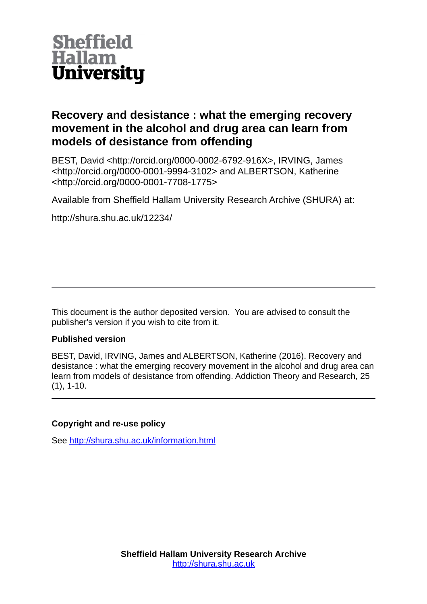

# **Recovery and desistance : what the emerging recovery movement in the alcohol and drug area can learn from models of desistance from offending**

BEST, David <http://orcid.org/0000-0002-6792-916X>, IRVING, James <http://orcid.org/0000-0001-9994-3102> and ALBERTSON, Katherine <http://orcid.org/0000-0001-7708-1775>

Available from Sheffield Hallam University Research Archive (SHURA) at:

http://shura.shu.ac.uk/12234/

This document is the author deposited version. You are advised to consult the publisher's version if you wish to cite from it.

# **Published version**

BEST, David, IRVING, James and ALBERTSON, Katherine (2016). Recovery and desistance : what the emerging recovery movement in the alcohol and drug area can learn from models of desistance from offending. Addiction Theory and Research, 25 (1), 1-10.

# **Copyright and re-use policy**

See<http://shura.shu.ac.uk/information.html>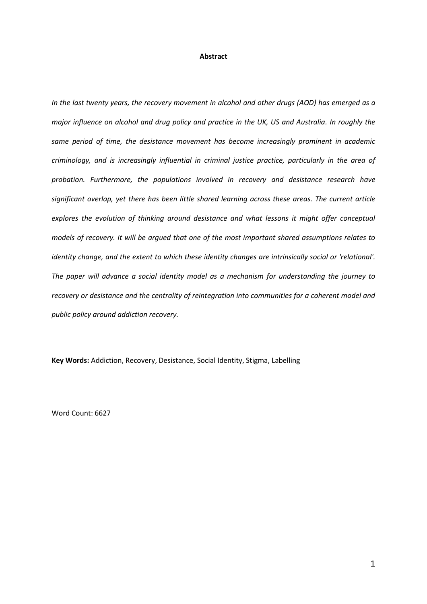#### **Abstract**

*In the last twenty years, the recovery movement in alcohol and other drugs (AOD) has emerged as a major influence on alcohol and drug policy and practice in the UK, US and Australia. In roughly the same period of time, the desistance movement has become increasingly prominent in academic criminology, and is increasingly influential in criminal justice practice, particularly in the area of probation. Furthermore, the populations involved in recovery and desistance research have significant overlap, yet there has been little shared learning across these areas. The current article explores the evolution of thinking around desistance and what lessons it might offer conceptual models of recovery. It will be argued that one of the most important shared assumptions relates to identity change, and the extent to which these identity changes are intrinsically social or 'relational'. The paper will advance a social identity model as a mechanism for understanding the journey to recovery or desistance and the centrality of reintegration into communities for a coherent model and public policy around addiction recovery.* 

**Key Words:** Addiction, Recovery, Desistance, Social Identity, Stigma, Labelling

Word Count: 6627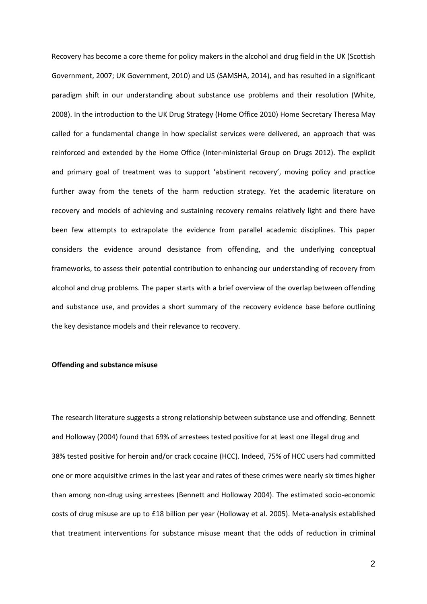Recovery has become a core theme for policy makers in the alcohol and drug field in the UK (Scottish Government, 2007; UK Government, 2010) and US (SAMSHA, 2014), and has resulted in a significant paradigm shift in our understanding about substance use problems and their resolution (White, 2008). In the introduction to the UK Drug Strategy (Home Office 2010) Home Secretary Theresa May called for a fundamental change in how specialist services were delivered, an approach that was reinforced and extended by the Home Office (Inter-ministerial Group on Drugs 2012). The explicit and primary goal of treatment was to support 'abstinent recovery', moving policy and practice further away from the tenets of the harm reduction strategy. Yet the academic literature on recovery and models of achieving and sustaining recovery remains relatively light and there have been few attempts to extrapolate the evidence from parallel academic disciplines. This paper considers the evidence around desistance from offending, and the underlying conceptual frameworks, to assess their potential contribution to enhancing our understanding of recovery from alcohol and drug problems. The paper starts with a brief overview of the overlap between offending and substance use, and provides a short summary of the recovery evidence base before outlining the key desistance models and their relevance to recovery.

## **Offending and substance misuse**

The research literature suggests a strong relationship between substance use and offending. Bennett and Holloway (2004) found that 69% of arrestees tested positive for at least one illegal drug and 38% tested positive for heroin and/or crack cocaine (HCC). Indeed, 75% of HCC users had committed one or more acquisitive crimes in the last year and rates of these crimes were nearly six times higher than among non-drug using arrestees (Bennett and Holloway 2004). The estimated socio-economic costs of drug misuse are up to £18 billion per year (Holloway et al. 2005). Meta-analysis established that treatment interventions for substance misuse meant that the odds of reduction in criminal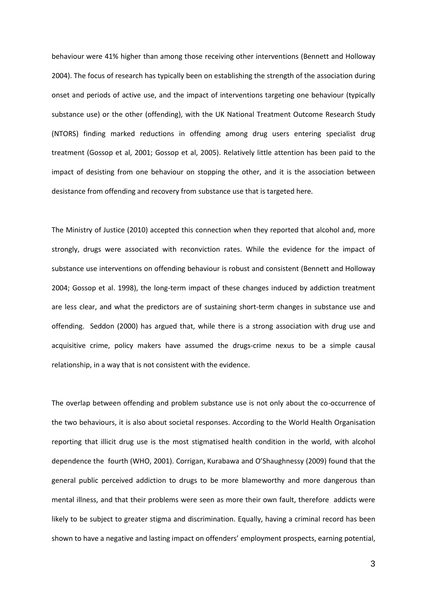behaviour were 41% higher than among those receiving other interventions (Bennett and Holloway 2004). The focus of research has typically been on establishing the strength of the association during onset and periods of active use, and the impact of interventions targeting one behaviour (typically substance use) or the other (offending), with the UK National Treatment Outcome Research Study (NTORS) finding marked reductions in offending among drug users entering specialist drug treatment (Gossop et al, 2001; Gossop et al, 2005). Relatively little attention has been paid to the impact of desisting from one behaviour on stopping the other, and it is the association between desistance from offending and recovery from substance use that is targeted here.

The Ministry of Justice (2010) accepted this connection when they reported that alcohol and, more strongly, drugs were associated with reconviction rates. While the evidence for the impact of substance use interventions on offending behaviour is robust and consistent (Bennett and Holloway 2004; Gossop et al. 1998), the long-term impact of these changes induced by addiction treatment are less clear, and what the predictors are of sustaining short-term changes in substance use and offending. Seddon (2000) has argued that, while there is a strong association with drug use and acquisitive crime, policy makers have assumed the drugs-crime nexus to be a simple causal relationship, in a way that is not consistent with the evidence.

The overlap between offending and problem substance use is not only about the co-occurrence of the two behaviours, it is also about societal responses. According to the World Health Organisation reporting that illicit drug use is the most stigmatised health condition in the world, with alcohol dependence the fourth (WHO, 2001). Corrigan, Kurabawa and O'Shaughnessy (2009) found that the general public perceived addiction to drugs to be more blameworthy and more dangerous than mental illness, and that their problems were seen as more their own fault, therefore addicts were likely to be subject to greater stigma and discrimination. Equally, having a criminal record has been shown to have a negative and lasting impact on offenders' employment prospects, earning potential,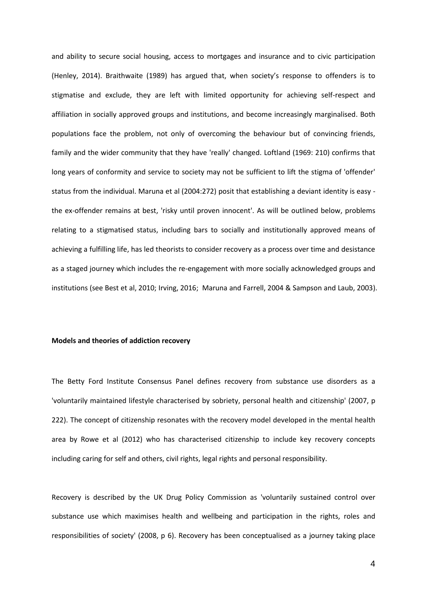and ability to secure social housing, access to mortgages and insurance and to civic participation (Henley, 2014). Braithwaite (1989) has argued that, when society's response to offenders is to stigmatise and exclude, they are left with limited opportunity for achieving self-respect and affiliation in socially approved groups and institutions, and become increasingly marginalised. Both populations face the problem, not only of overcoming the behaviour but of convincing friends, family and the wider community that they have 'really' changed. Loftland (1969: 210) confirms that long years of conformity and service to society may not be sufficient to lift the stigma of 'offender' status from the individual. Maruna et al (2004:272) posit that establishing a deviant identity is easy the ex-offender remains at best, 'risky until proven innocent'. As will be outlined below, problems relating to a stigmatised status, including bars to socially and institutionally approved means of achieving a fulfilling life, has led theorists to consider recovery as a process over time and desistance as a staged journey which includes the re-engagement with more socially acknowledged groups and institutions (see Best et al, 2010; Irving, 2016; Maruna and Farrell, 2004 & Sampson and Laub, 2003).

### **Models and theories of addiction recovery**

The Betty Ford Institute Consensus Panel defines recovery from substance use disorders as a 'voluntarily maintained lifestyle characterised by sobriety, personal health and citizenship' (2007, p 222). The concept of citizenship resonates with the recovery model developed in the mental health area by Rowe et al (2012) who has characterised citizenship to include key recovery concepts including caring for self and others, civil rights, legal rights and personal responsibility.

Recovery is described by the UK Drug Policy Commission as 'voluntarily sustained control over substance use which maximises health and wellbeing and participation in the rights, roles and responsibilities of society' (2008, p 6). Recovery has been conceptualised as a journey taking place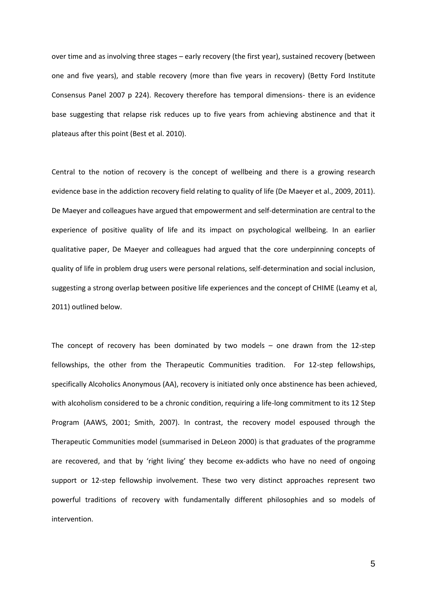over time and as involving three stages – early recovery (the first year), sustained recovery (between one and five years), and stable recovery (more than five years in recovery) (Betty Ford Institute Consensus Panel 2007 p 224). Recovery therefore has temporal dimensions- there is an evidence base suggesting that relapse risk reduces up to five years from achieving abstinence and that it plateaus after this point (Best et al. 2010).

Central to the notion of recovery is the concept of wellbeing and there is a growing research evidence base in the addiction recovery field relating to quality of life (De Maeyer et al., 2009, 2011). De Maeyer and colleagues have argued that empowerment and self-determination are central to the experience of positive quality of life and its impact on psychological wellbeing. In an earlier qualitative paper, De Maeyer and colleagues had argued that the core underpinning concepts of quality of life in problem drug users were personal relations, self-determination and social inclusion, suggesting a strong overlap between positive life experiences and the concept of CHIME (Leamy et al, 2011) outlined below.

The concept of recovery has been dominated by two models – one drawn from the 12-step fellowships, the other from the Therapeutic Communities tradition. For 12-step fellowships, specifically Alcoholics Anonymous (AA), recovery is initiated only once abstinence has been achieved, with alcoholism considered to be a chronic condition, requiring a life-long commitment to its 12 Step Program (AAWS, 2001; Smith, 2007). In contrast, the recovery model espoused through the Therapeutic Communities model (summarised in DeLeon 2000) is that graduates of the programme are recovered, and that by 'right living' they become ex-addicts who have no need of ongoing support or 12-step fellowship involvement. These two very distinct approaches represent two powerful traditions of recovery with fundamentally different philosophies and so models of intervention.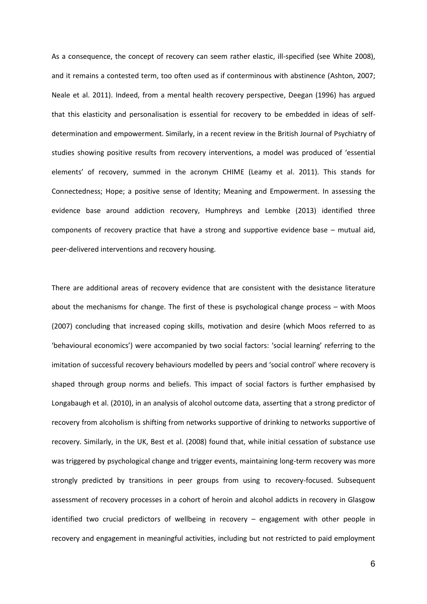As a consequence, the concept of recovery can seem rather elastic, ill-specified (see White 2008), and it remains a contested term, too often used as if conterminous with abstinence (Ashton, 2007; Neale et al. 2011). Indeed, from a mental health recovery perspective, Deegan (1996) has argued that this elasticity and personalisation is essential for recovery to be embedded in ideas of selfdetermination and empowerment. Similarly, in a recent review in the British Journal of Psychiatry of studies showing positive results from recovery interventions, a model was produced of 'essential elements' of recovery, summed in the acronym CHIME (Leamy et al. 2011). This stands for Connectedness; Hope; a positive sense of Identity; Meaning and Empowerment. In assessing the evidence base around addiction recovery, Humphreys and Lembke (2013) identified three components of recovery practice that have a strong and supportive evidence base – mutual aid, peer-delivered interventions and recovery housing.

There are additional areas of recovery evidence that are consistent with the desistance literature about the mechanisms for change. The first of these is psychological change process – with Moos (2007) concluding that increased coping skills, motivation and desire (which Moos referred to as 'behavioural economics') were accompanied by two social factors: 'social learning' referring to the imitation of successful recovery behaviours modelled by peers and 'social control' where recovery is shaped through group norms and beliefs. This impact of social factors is further emphasised by Longabaugh et al. (2010), in an analysis of alcohol outcome data, asserting that a strong predictor of recovery from alcoholism is shifting from networks supportive of drinking to networks supportive of recovery. Similarly, in the UK, Best et al. (2008) found that, while initial cessation of substance use was triggered by psychological change and trigger events, maintaining long-term recovery was more strongly predicted by transitions in peer groups from using to recovery-focused. Subsequent assessment of recovery processes in a cohort of heroin and alcohol addicts in recovery in Glasgow identified two crucial predictors of wellbeing in recovery – engagement with other people in recovery and engagement in meaningful activities, including but not restricted to paid employment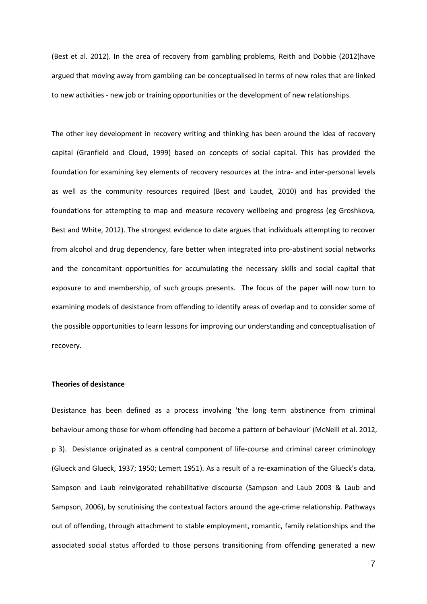(Best et al. 2012). In the area of recovery from gambling problems, Reith and Dobbie (2012)have argued that moving away from gambling can be conceptualised in terms of new roles that are linked to new activities - new job or training opportunities or the development of new relationships.

The other key development in recovery writing and thinking has been around the idea of recovery capital (Granfield and Cloud, 1999) based on concepts of social capital. This has provided the foundation for examining key elements of recovery resources at the intra- and inter-personal levels as well as the community resources required (Best and Laudet, 2010) and has provided the foundations for attempting to map and measure recovery wellbeing and progress (eg Groshkova, Best and White, 2012). The strongest evidence to date argues that individuals attempting to recover from alcohol and drug dependency, fare better when integrated into pro-abstinent social networks and the concomitant opportunities for accumulating the necessary skills and social capital that exposure to and membership, of such groups presents. The focus of the paper will now turn to examining models of desistance from offending to identify areas of overlap and to consider some of the possible opportunities to learn lessons for improving our understanding and conceptualisation of recovery.

## **Theories of desistance**

Desistance has been defined as a process involving 'the long term abstinence from criminal behaviour among those for whom offending had become a pattern of behaviour' (McNeill et al. 2012, p 3). Desistance originated as a central component of life-course and criminal career criminology (Glueck and Glueck, 1937; 1950; Lemert 1951). As a result of a re-examination of the Glueck's data, Sampson and Laub reinvigorated rehabilitative discourse (Sampson and Laub 2003 & Laub and Sampson, 2006), by scrutinising the contextual factors around the age-crime relationship. Pathways out of offending, through attachment to stable employment, romantic, family relationships and the associated social status afforded to those persons transitioning from offending generated a new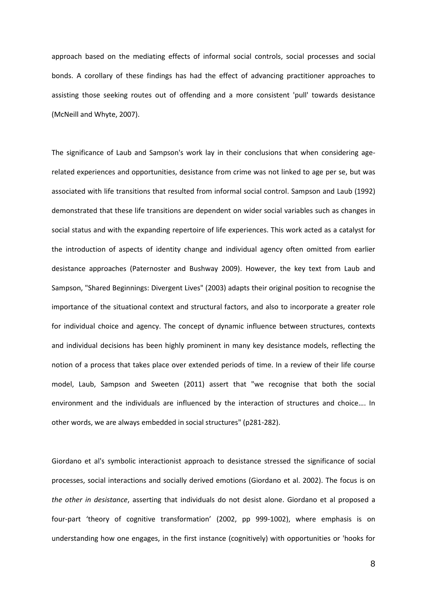approach based on the mediating effects of informal social controls, social processes and social bonds. A corollary of these findings has had the effect of advancing practitioner approaches to assisting those seeking routes out of offending and a more consistent 'pull' towards desistance (McNeill and Whyte, 2007).

The significance of Laub and Sampson's work lay in their conclusions that when considering agerelated experiences and opportunities, desistance from crime was not linked to age per se, but was associated with life transitions that resulted from informal social control. Sampson and Laub (1992) demonstrated that these life transitions are dependent on wider social variables such as changes in social status and with the expanding repertoire of life experiences. This work acted as a catalyst for the introduction of aspects of identity change and individual agency often omitted from earlier desistance approaches (Paternoster and Bushway 2009). However, the key text from Laub and Sampson, "Shared Beginnings: Divergent Lives" (2003) adapts their original position to recognise the importance of the situational context and structural factors, and also to incorporate a greater role for individual choice and agency. The concept of dynamic influence between structures, contexts and individual decisions has been highly prominent in many key desistance models, reflecting the notion of a process that takes place over extended periods of time. In a review of their life course model, Laub, Sampson and Sweeten (2011) assert that "we recognise that both the social environment and the individuals are influenced by the interaction of structures and choice…. In other words, we are always embedded in social structures" (p281-282).

Giordano et al's symbolic interactionist approach to desistance stressed the significance of social processes, social interactions and socially derived emotions (Giordano et al. 2002). The focus is on *the other in desistance*, asserting that individuals do not desist alone. Giordano et al proposed a four-part 'theory of cognitive transformation' (2002, pp 999-1002), where emphasis is on understanding how one engages, in the first instance (cognitively) with opportunities or 'hooks for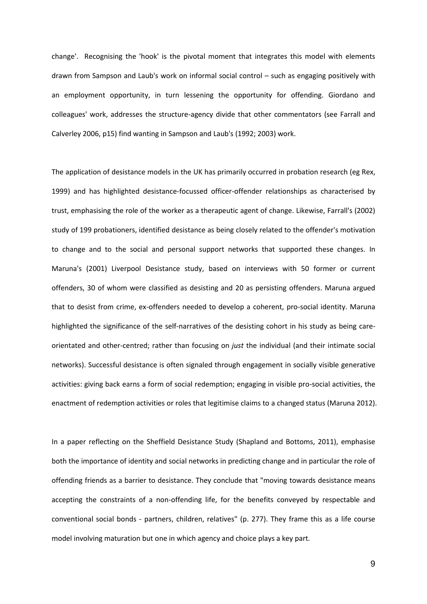change'. Recognising the 'hook' is the pivotal moment that integrates this model with elements drawn from Sampson and Laub's work on informal social control – such as engaging positively with an employment opportunity, in turn lessening the opportunity for offending. Giordano and colleagues' work, addresses the structure-agency divide that other commentators (see Farrall and Calverley 2006, p15) find wanting in Sampson and Laub's (1992; 2003) work.

The application of desistance models in the UK has primarily occurred in probation research (eg Rex, 1999) and has highlighted desistance-focussed officer-offender relationships as characterised by trust, emphasising the role of the worker as a therapeutic agent of change. Likewise, Farrall's (2002) study of 199 probationers, identified desistance as being closely related to the offender's motivation to change and to the social and personal support networks that supported these changes. In Maruna's (2001) Liverpool Desistance study, based on interviews with 50 former or current offenders, 30 of whom were classified as desisting and 20 as persisting offenders. Maruna argued that to desist from crime, ex-offenders needed to develop a coherent, pro-social identity. Maruna highlighted the significance of the self-narratives of the desisting cohort in his study as being careorientated and other-centred; rather than focusing on *just* the individual (and their intimate social networks). Successful desistance is often signaled through engagement in socially visible generative activities: giving back earns a form of social redemption; engaging in visible pro-social activities, the enactment of redemption activities or roles that legitimise claims to a changed status (Maruna 2012).

In a paper reflecting on the Sheffield Desistance Study (Shapland and Bottoms, 2011), emphasise both the importance of identity and social networks in predicting change and in particular the role of offending friends as a barrier to desistance. They conclude that "moving towards desistance means accepting the constraints of a non-offending life, for the benefits conveyed by respectable and conventional social bonds - partners, children, relatives" (p. 277). They frame this as a life course model involving maturation but one in which agency and choice plays a key part.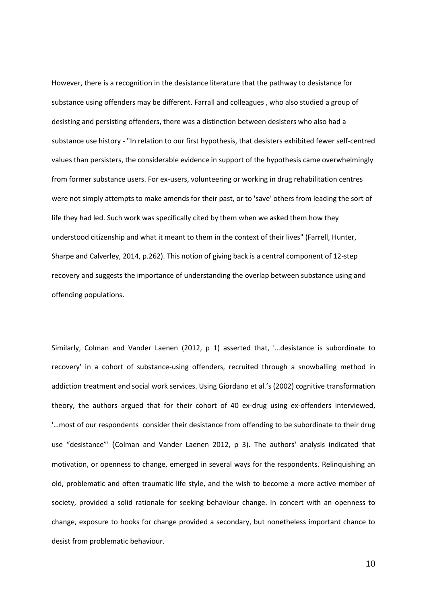However, there is a recognition in the desistance literature that the pathway to desistance for substance using offenders may be different. Farrall and colleagues , who also studied a group of desisting and persisting offenders, there was a distinction between desisters who also had a substance use history - "In relation to our first hypothesis, that desisters exhibited fewer self-centred values than persisters, the considerable evidence in support of the hypothesis came overwhelmingly from former substance users. For ex-users, volunteering or working in drug rehabilitation centres were not simply attempts to make amends for their past, or to 'save' others from leading the sort of life they had led. Such work was specifically cited by them when we asked them how they understood citizenship and what it meant to them in the context of their lives" (Farrell, Hunter, Sharpe and Calverley, 2014, p.262). This notion of giving back is a central component of 12-step recovery and suggests the importance of understanding the overlap between substance using and offending populations.

Similarly, Colman and Vander Laenen (2012, p 1) asserted that, '…desistance is subordinate to recovery' in a cohort of substance-using offenders, recruited through a snowballing method in addiction treatment and social work services. Using Giordano et al.'s (2002) cognitive transformation theory, the authors argued that for their cohort of 40 ex-drug using ex-offenders interviewed, '…most of our respondents consider their desistance from offending to be subordinate to their drug use "desistance"' (Colman and Vander Laenen 2012, p 3). The authors' analysis indicated that motivation, or openness to change, emerged in several ways for the respondents. Relinquishing an old, problematic and often traumatic life style, and the wish to become a more active member of society, provided a solid rationale for seeking behaviour change. In concert with an openness to change, exposure to hooks for change provided a secondary, but nonetheless important chance to desist from problematic behaviour.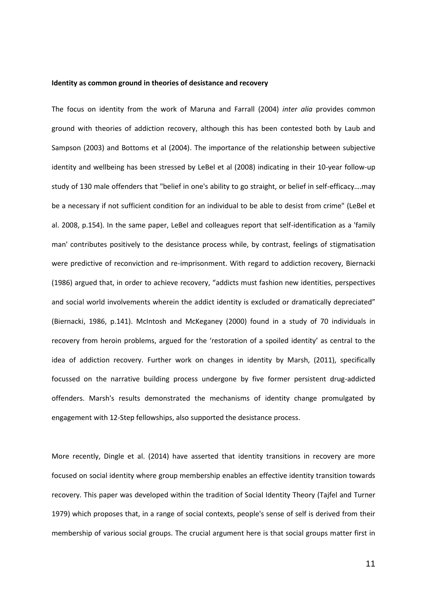#### **Identity as common ground in theories of desistance and recovery**

The focus on identity from the work of Maruna and Farrall (2004) *inter alia* provides common ground with theories of addiction recovery, although this has been contested both by Laub and Sampson (2003) and Bottoms et al (2004). The importance of the relationship between subjective identity and wellbeing has been stressed by LeBel et al (2008) indicating in their 10-year follow-up study of 130 male offenders that "belief in one's ability to go straight, or belief in self-efficacy….may be a necessary if not sufficient condition for an individual to be able to desist from crime" (LeBel et al. 2008, p.154). In the same paper, LeBel and colleagues report that self-identification as a 'family man' contributes positively to the desistance process while, by contrast, feelings of stigmatisation were predictive of reconviction and re-imprisonment. With regard to addiction recovery, Biernacki (1986) argued that, in order to achieve recovery, "addicts must fashion new identities, perspectives and social world involvements wherein the addict identity is excluded or dramatically depreciated" (Biernacki, 1986, p.141). McIntosh and McKeganey (2000) found in a study of 70 individuals in recovery from heroin problems, argued for the 'restoration of a spoiled identity' as central to the idea of addiction recovery. Further work on changes in identity by Marsh, (2011), specifically focussed on the narrative building process undergone by five former persistent drug-addicted offenders. Marsh's results demonstrated the mechanisms of identity change promulgated by engagement with 12-Step fellowships, also supported the desistance process.

More recently, Dingle et al. (2014) have asserted that identity transitions in recovery are more focused on social identity where group membership enables an effective identity transition towards recovery. This paper was developed within the tradition of Social Identity Theory (Tajfel and Turner 1979) which proposes that, in a range of social contexts, people's sense of self is derived from their membership of various social groups. The crucial argument here is that social groups matter first in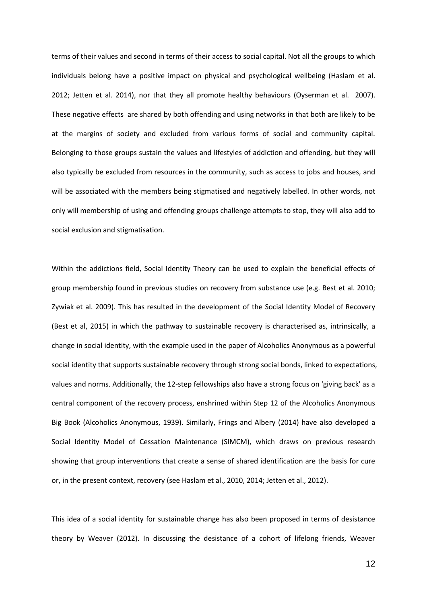terms of their values and second in terms of their access to social capital. Not all the groups to which individuals belong have a positive impact on physical and psychological wellbeing (Haslam et al. 2012; Jetten et al. 2014), nor that they all promote healthy behaviours (Oyserman et al. 2007). These negative effects are shared by both offending and using networks in that both are likely to be at the margins of society and excluded from various forms of social and community capital. Belonging to those groups sustain the values and lifestyles of addiction and offending, but they will also typically be excluded from resources in the community, such as access to jobs and houses, and will be associated with the members being stigmatised and negatively labelled. In other words, not only will membership of using and offending groups challenge attempts to stop, they will also add to social exclusion and stigmatisation.

Within the addictions field, Social Identity Theory can be used to explain the beneficial effects of group membership found in previous studies on recovery from substance use (e.g. Best et al. 2010; Zywiak et al. 2009). This has resulted in the development of the Social Identity Model of Recovery (Best et al, 2015) in which the pathway to sustainable recovery is characterised as, intrinsically, a change in social identity, with the example used in the paper of Alcoholics Anonymous as a powerful social identity that supports sustainable recovery through strong social bonds, linked to expectations, values and norms. Additionally, the 12-step fellowships also have a strong focus on 'giving back' as a central component of the recovery process, enshrined within Step 12 of the Alcoholics Anonymous Big Book (Alcoholics Anonymous, 1939). Similarly, Frings and Albery (2014) have also developed a Social Identity Model of Cessation Maintenance (SIMCM), which draws on previous research showing that group interventions that create a sense of shared identification are the basis for cure or, in the present context, recovery (see Haslam et al., 2010, 2014; Jetten et al., 2012).

This idea of a social identity for sustainable change has also been proposed in terms of desistance theory by Weaver (2012). In discussing the desistance of a cohort of lifelong friends, Weaver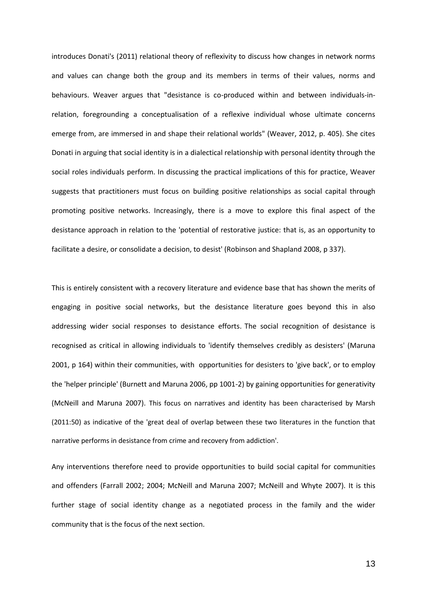introduces Donati's (2011) relational theory of reflexivity to discuss how changes in network norms and values can change both the group and its members in terms of their values, norms and behaviours. Weaver argues that "desistance is co-produced within and between individuals-inrelation, foregrounding a conceptualisation of a reflexive individual whose ultimate concerns emerge from, are immersed in and shape their relational worlds" (Weaver, 2012, p. 405). She cites Donati in arguing that social identity is in a dialectical relationship with personal identity through the social roles individuals perform. In discussing the practical implications of this for practice, Weaver suggests that practitioners must focus on building positive relationships as social capital through promoting positive networks. Increasingly, there is a move to explore this final aspect of the desistance approach in relation to the 'potential of restorative justice: that is, as an opportunity to facilitate a desire, or consolidate a decision, to desist' (Robinson and Shapland 2008, p 337).

This is entirely consistent with a recovery literature and evidence base that has shown the merits of engaging in positive social networks, but the desistance literature goes beyond this in also addressing wider social responses to desistance efforts. The social recognition of desistance is recognised as critical in allowing individuals to 'identify themselves credibly as desisters' (Maruna 2001, p 164) within their communities, with opportunities for desisters to 'give back', or to employ the 'helper principle' (Burnett and Maruna 2006, pp 1001-2) by gaining opportunities for generativity (McNeill and Maruna 2007). This focus on narratives and identity has been characterised by Marsh (2011:50) as indicative of the 'great deal of overlap between these two literatures in the function that narrative performs in desistance from crime and recovery from addiction'.

Any interventions therefore need to provide opportunities to build social capital for communities and offenders (Farrall 2002; 2004; McNeill and Maruna 2007; McNeill and Whyte 2007). It is this further stage of social identity change as a negotiated process in the family and the wider community that is the focus of the next section.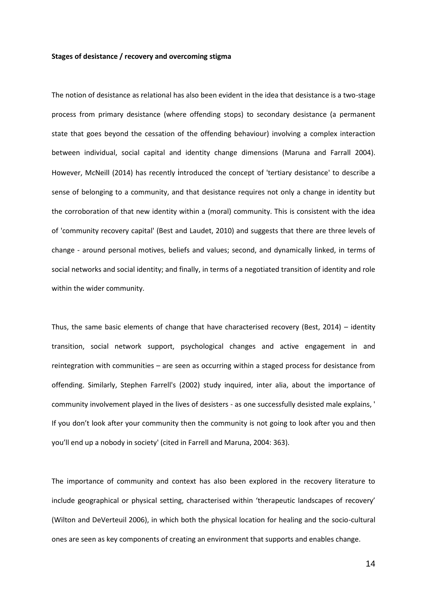#### **Stages of desistance / recovery and overcoming stigma**

The notion of desistance as relational has also been evident in the idea that desistance is a two-stage process from primary desistance (where offending stops) to secondary desistance (a permanent state that goes beyond the cessation of the offending behaviour) involving a complex interaction between individual, social capital and identity change dimensions (Maruna and Farrall 2004). However, McNeill (2014) has recently introduced the concept of 'tertiary desistance' to describe a sense of belonging to a community, and that desistance requires not only a change in identity but the corroboration of that new identity within a (moral) community. This is consistent with the idea of 'community recovery capital' (Best and Laudet, 2010) and suggests that there are three levels of change - around personal motives, beliefs and values; second, and dynamically linked, in terms of social networks and social identity; and finally, in terms of a negotiated transition of identity and role within the wider community.

Thus, the same basic elements of change that have characterised recovery (Best, 2014) – identity transition, social network support, psychological changes and active engagement in and reintegration with communities – are seen as occurring within a staged process for desistance from offending. Similarly, Stephen Farrell's (2002) study inquired, inter alia, about the importance of community involvement played in the lives of desisters - as one successfully desisted male explains, ' If you don't look after your community then the community is not going to look after you and then you'll end up a nobody in society' (cited in Farrell and Maruna, 2004: 363).

The importance of community and context has also been explored in the recovery literature to include geographical or physical setting, characterised within 'therapeutic landscapes of recovery' (Wilton and DeVerteuil 2006), in which both the physical location for healing and the socio-cultural ones are seen as key components of creating an environment that supports and enables change.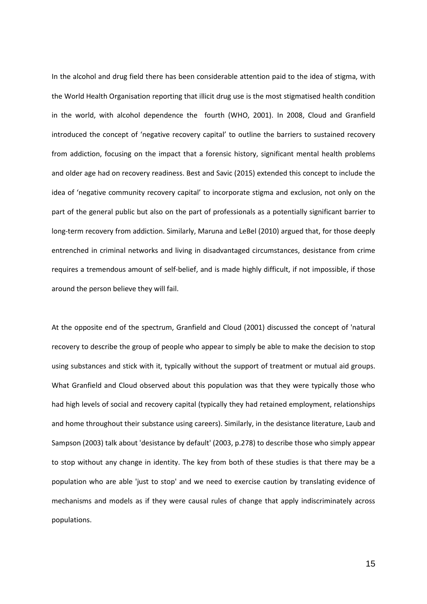In the alcohol and drug field there has been considerable attention paid to the idea of stigma, with the World Health Organisation reporting that illicit drug use is the most stigmatised health condition in the world, with alcohol dependence the fourth (WHO, 2001). In 2008, Cloud and Granfield introduced the concept of 'negative recovery capital' to outline the barriers to sustained recovery from addiction, focusing on the impact that a forensic history, significant mental health problems and older age had on recovery readiness. Best and Savic (2015) extended this concept to include the idea of 'negative community recovery capital' to incorporate stigma and exclusion, not only on the part of the general public but also on the part of professionals as a potentially significant barrier to long-term recovery from addiction. Similarly, Maruna and LeBel (2010) argued that, for those deeply entrenched in criminal networks and living in disadvantaged circumstances, desistance from crime requires a tremendous amount of self-belief, and is made highly difficult, if not impossible, if those around the person believe they will fail.

At the opposite end of the spectrum, Granfield and Cloud (2001) discussed the concept of 'natural recovery to describe the group of people who appear to simply be able to make the decision to stop using substances and stick with it, typically without the support of treatment or mutual aid groups. What Granfield and Cloud observed about this population was that they were typically those who had high levels of social and recovery capital (typically they had retained employment, relationships and home throughout their substance using careers). Similarly, in the desistance literature, Laub and Sampson (2003) talk about 'desistance by default' (2003, p.278) to describe those who simply appear to stop without any change in identity. The key from both of these studies is that there may be a population who are able 'just to stop' and we need to exercise caution by translating evidence of mechanisms and models as if they were causal rules of change that apply indiscriminately across populations.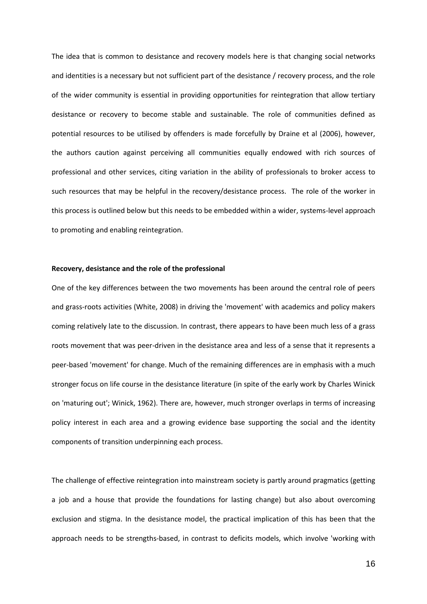The idea that is common to desistance and recovery models here is that changing social networks and identities is a necessary but not sufficient part of the desistance / recovery process, and the role of the wider community is essential in providing opportunities for reintegration that allow tertiary desistance or recovery to become stable and sustainable. The role of communities defined as potential resources to be utilised by offenders is made forcefully by Draine et al (2006), however, the authors caution against perceiving all communities equally endowed with rich sources of professional and other services, citing variation in the ability of professionals to broker access to such resources that may be helpful in the recovery/desistance process. The role of the worker in this process is outlined below but this needs to be embedded within a wider, systems-level approach to promoting and enabling reintegration.

#### **Recovery, desistance and the role of the professional**

One of the key differences between the two movements has been around the central role of peers and grass-roots activities (White, 2008) in driving the 'movement' with academics and policy makers coming relatively late to the discussion. In contrast, there appears to have been much less of a grass roots movement that was peer-driven in the desistance area and less of a sense that it represents a peer-based 'movement' for change. Much of the remaining differences are in emphasis with a much stronger focus on life course in the desistance literature (in spite of the early work by Charles Winick on 'maturing out'; Winick, 1962). There are, however, much stronger overlaps in terms of increasing policy interest in each area and a growing evidence base supporting the social and the identity components of transition underpinning each process.

The challenge of effective reintegration into mainstream society is partly around pragmatics (getting a job and a house that provide the foundations for lasting change) but also about overcoming exclusion and stigma. In the desistance model, the practical implication of this has been that the approach needs to be strengths-based, in contrast to deficits models, which involve 'working with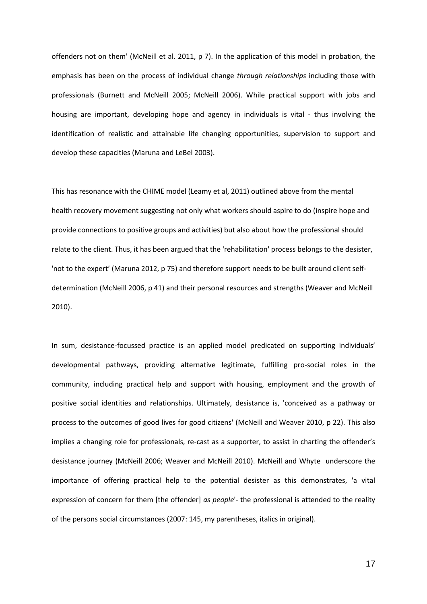offenders not on them' (McNeill et al. 2011, p 7). In the application of this model in probation, the emphasis has been on the process of individual change *through relationships* including those with professionals (Burnett and McNeill 2005; McNeill 2006). While practical support with jobs and housing are important, developing hope and agency in individuals is vital - thus involving the identification of realistic and attainable life changing opportunities, supervision to support and develop these capacities (Maruna and LeBel 2003).

This has resonance with the CHIME model (Leamy et al, 2011) outlined above from the mental health recovery movement suggesting not only what workers should aspire to do (inspire hope and provide connections to positive groups and activities) but also about how the professional should relate to the client. Thus, it has been argued that the 'rehabilitation' process belongs to the desister, 'not to the expert' (Maruna 2012, p 75) and therefore support needs to be built around client selfdetermination (McNeill 2006, p 41) and their personal resources and strengths (Weaver and McNeill 2010).

In sum, desistance-focussed practice is an applied model predicated on supporting individuals' developmental pathways, providing alternative legitimate, fulfilling pro-social roles in the community, including practical help and support with housing, employment and the growth of positive social identities and relationships. Ultimately, desistance is, 'conceived as a pathway or process to the outcomes of good lives for good citizens' (McNeill and Weaver 2010, p 22). This also implies a changing role for professionals, re-cast as a supporter, to assist in charting the offender's desistance journey (McNeill 2006; Weaver and McNeill 2010). McNeill and Whyte underscore the importance of offering practical help to the potential desister as this demonstrates, 'a vital expression of concern for them [the offender] *as people*'- the professional is attended to the reality of the persons social circumstances (2007: 145, my parentheses, italics in original).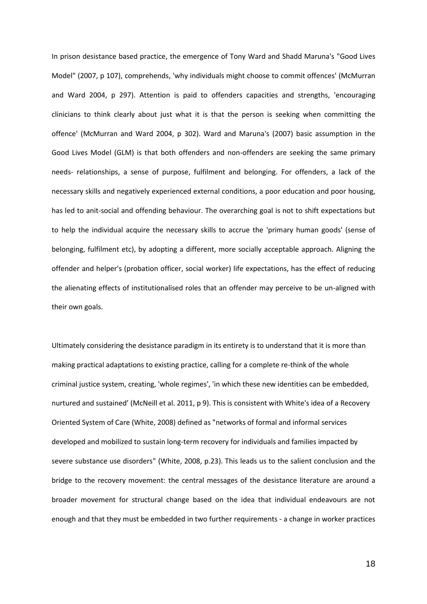In prison desistance based practice, the emergence of Tony Ward and Shadd Maruna's "Good Lives Model" (2007, p 107), comprehends, 'why individuals might choose to commit offences' (McMurran and Ward 2004, p 297). Attention is paid to offenders capacities and strengths, 'encouraging clinicians to think clearly about just what it is that the person is seeking when committing the offence' (McMurran and Ward 2004, p 302). Ward and Maruna's (2007) basic assumption in the Good Lives Model (GLM) is that both offenders and non-offenders are seeking the same primary needs- relationships, a sense of purpose, fulfilment and belonging. For offenders, a lack of the necessary skills and negatively experienced external conditions, a poor education and poor housing, has led to anit-social and offending behaviour. The overarching goal is not to shift expectations but to help the individual acquire the necessary skills to accrue the 'primary human goods' (sense of belonging, fulfilment etc), by adopting a different, more socially acceptable approach. Aligning the offender and helper's (probation officer, social worker) life expectations, has the effect of reducing the alienating effects of institutionalised roles that an offender may perceive to be un-aligned with their own goals.

Ultimately considering the desistance paradigm in its entirety is to understand that it is more than making practical adaptations to existing practice, calling for a complete re-think of the whole criminal justice system, creating, 'whole regimes', 'in which these new identities can be embedded, nurtured and sustained' (McNeill et al. 2011, p 9). This is consistent with White's idea of a Recovery Oriented System of Care (White, 2008) defined as "networks of formal and informal services developed and mobilized to sustain long-term recovery for individuals and families impacted by severe substance use disorders" (White, 2008, p.23). This leads us to the salient conclusion and the bridge to the recovery movement: the central messages of the desistance literature are around a broader movement for structural change based on the idea that individual endeavours are not enough and that they must be embedded in two further requirements - a change in worker practices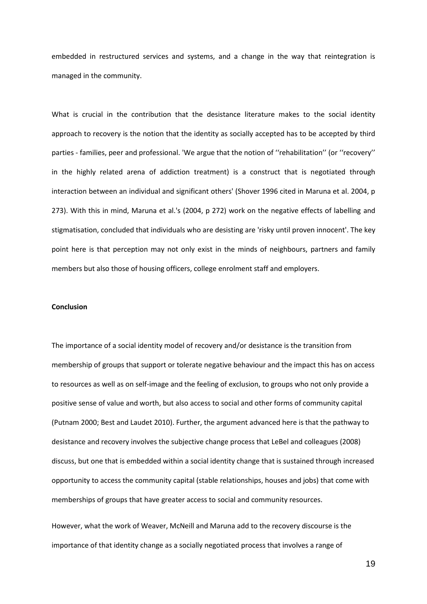embedded in restructured services and systems, and a change in the way that reintegration is managed in the community.

What is crucial in the contribution that the desistance literature makes to the social identity approach to recovery is the notion that the identity as socially accepted has to be accepted by third parties - families, peer and professional. 'We argue that the notion of ''rehabilitation'' (or ''recovery'' in the highly related arena of addiction treatment) is a construct that is negotiated through interaction between an individual and significant others' (Shover 1996 cited in Maruna et al. 2004, p 273). With this in mind, Maruna et al.'s (2004, p 272) work on the negative effects of labelling and stigmatisation, concluded that individuals who are desisting are 'risky until proven innocent'. The key point here is that perception may not only exist in the minds of neighbours, partners and family members but also those of housing officers, college enrolment staff and employers.

### **Conclusion**

The importance of a social identity model of recovery and/or desistance is the transition from membership of groups that support or tolerate negative behaviour and the impact this has on access to resources as well as on self-image and the feeling of exclusion, to groups who not only provide a positive sense of value and worth, but also access to social and other forms of community capital (Putnam 2000; Best and Laudet 2010). Further, the argument advanced here is that the pathway to desistance and recovery involves the subjective change process that LeBel and colleagues (2008) discuss, but one that is embedded within a social identity change that is sustained through increased opportunity to access the community capital (stable relationships, houses and jobs) that come with memberships of groups that have greater access to social and community resources.

However, what the work of Weaver, McNeill and Maruna add to the recovery discourse is the importance of that identity change as a socially negotiated process that involves a range of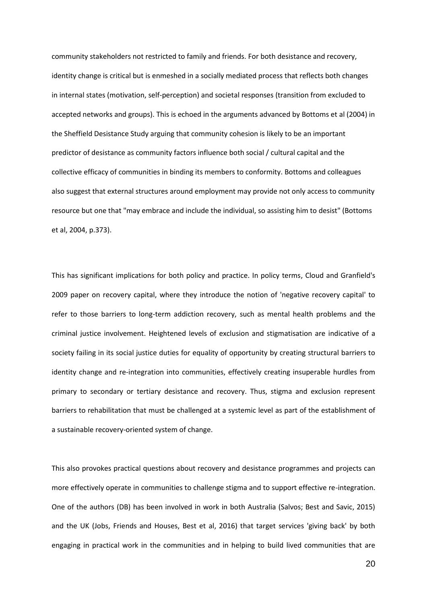community stakeholders not restricted to family and friends. For both desistance and recovery, identity change is critical but is enmeshed in a socially mediated process that reflects both changes in internal states (motivation, self-perception) and societal responses (transition from excluded to accepted networks and groups). This is echoed in the arguments advanced by Bottoms et al (2004) in the Sheffield Desistance Study arguing that community cohesion is likely to be an important predictor of desistance as community factors influence both social / cultural capital and the collective efficacy of communities in binding its members to conformity. Bottoms and colleagues also suggest that external structures around employment may provide not only access to community resource but one that "may embrace and include the individual, so assisting him to desist" (Bottoms et al, 2004, p.373).

This has significant implications for both policy and practice. In policy terms, Cloud and Granfield's 2009 paper on recovery capital, where they introduce the notion of 'negative recovery capital' to refer to those barriers to long-term addiction recovery, such as mental health problems and the criminal justice involvement. Heightened levels of exclusion and stigmatisation are indicative of a society failing in its social justice duties for equality of opportunity by creating structural barriers to identity change and re-integration into communities, effectively creating insuperable hurdles from primary to secondary or tertiary desistance and recovery. Thus, stigma and exclusion represent barriers to rehabilitation that must be challenged at a systemic level as part of the establishment of a sustainable recovery-oriented system of change.

This also provokes practical questions about recovery and desistance programmes and projects can more effectively operate in communities to challenge stigma and to support effective re-integration. One of the authors (DB) has been involved in work in both Australia (Salvos; Best and Savic, 2015) and the UK (Jobs, Friends and Houses, Best et al, 2016) that target services 'giving back' by both engaging in practical work in the communities and in helping to build lived communities that are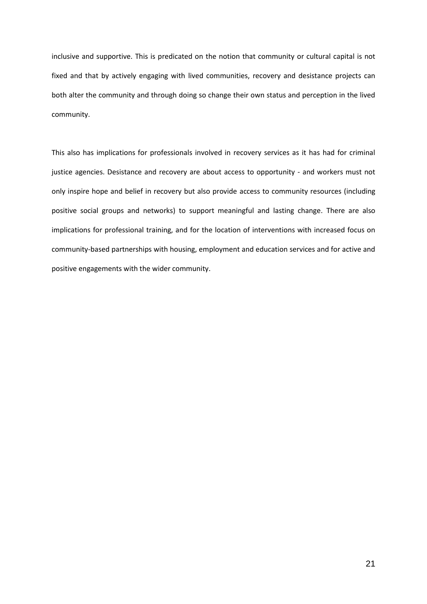inclusive and supportive. This is predicated on the notion that community or cultural capital is not fixed and that by actively engaging with lived communities, recovery and desistance projects can both alter the community and through doing so change their own status and perception in the lived community.

This also has implications for professionals involved in recovery services as it has had for criminal justice agencies. Desistance and recovery are about access to opportunity - and workers must not only inspire hope and belief in recovery but also provide access to community resources (including positive social groups and networks) to support meaningful and lasting change. There are also implications for professional training, and for the location of interventions with increased focus on community-based partnerships with housing, employment and education services and for active and positive engagements with the wider community.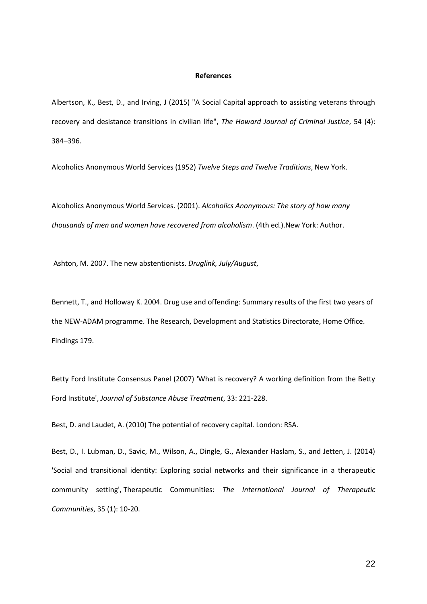### **References**

Albertson, K., Best, D., and Irving, J (2015) "A Social Capital approach to assisting veterans through recovery and desistance transitions in civilian life", *The Howard Journal of Criminal Justice*, 54 (4): 384–396.

Alcoholics Anonymous World Services (1952) *Twelve Steps and Twelve Traditions*, New York.

Alcoholics Anonymous World Services. (2001). *Alcoholics Anonymous: The story of how many thousands of men and women have recovered from alcoholism*. (4th ed.).New York: Author.

Ashton, M. 2007. The new abstentionists. *Druglink, July/August*,

Bennett, T., and Holloway K. 2004. Drug use and offending: Summary results of the first two years of the NEW-ADAM programme. The Research, Development and Statistics Directorate, Home Office. Findings 179.

Betty Ford Institute Consensus Panel (2007) 'What is recovery? A working definition from the Betty Ford Institute', *Journal of Substance Abuse Treatment*, 33: 221-228.

Best, D. and Laudet, A. (2010) The potential of recovery capital. London: RSA.

Best, D., I. Lubman, D., Savic, M., Wilson, A., Dingle, G., Alexander Haslam, S., and Jetten, J. (2014) 'Social and transitional identity: Exploring social networks and their significance in a therapeutic community setting', Therapeutic Communities: *The International Journal of Therapeutic Communities*, 35 (1): 10-20.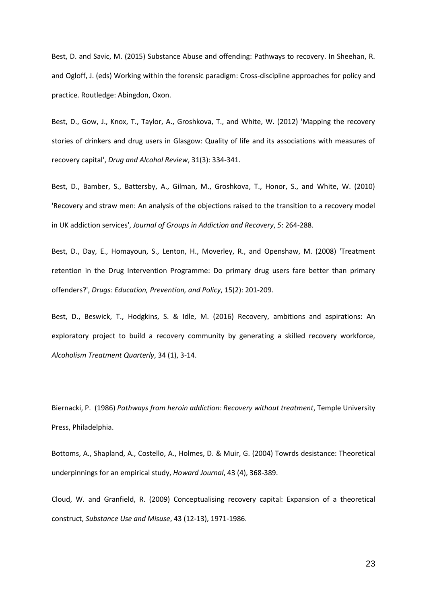Best, D. and Savic, M. (2015) Substance Abuse and offending: Pathways to recovery. In Sheehan, R. and Ogloff, J. (eds) Working within the forensic paradigm: Cross-discipline approaches for policy and practice. Routledge: Abingdon, Oxon.

Best, D., Gow, J., Knox, T., Taylor, A., Groshkova, T., and White, W. (2012) 'Mapping the recovery stories of drinkers and drug users in Glasgow: Quality of life and its associations with measures of recovery capital', *Drug and Alcohol Review*, 31(3): 334-341.

Best, D., Bamber, S., Battersby, A., Gilman, M., Groshkova, T., Honor, S., and White, W. (2010) 'Recovery and straw men: An analysis of the objections raised to the transition to a recovery model in UK addiction services', *Journal of Groups in Addiction and Recovery*, *5*: 264-288.

Best, D., Day, E., Homayoun, S., Lenton, H., Moverley, R., and Openshaw, M. (2008) 'Treatment retention in the Drug Intervention Programme: Do primary drug users fare better than primary offenders?', *Drugs: Education, Prevention, and Policy*, 15(2): 201-209.

Best, D., Beswick, T., Hodgkins, S. & Idle, M. (2016) Recovery, ambitions and aspirations: An exploratory project to build a recovery community by generating a skilled recovery workforce, *Alcoholism Treatment Quarterly*, 34 (1), 3-14.

Biernacki, P. (1986) *Pathways from heroin addiction: Recovery without treatment*, Temple University Press, Philadelphia.

Bottoms, A., Shapland, A., Costello, A., Holmes, D. & Muir, G. (2004) Towrds desistance: Theoretical underpinnings for an empirical study, *Howard Journal*, 43 (4), 368-389.

Cloud, W. and Granfield, R. (2009) Conceptualising recovery capital: Expansion of a theoretical construct, *Substance Use and Misuse*, 43 (12-13), 1971-1986.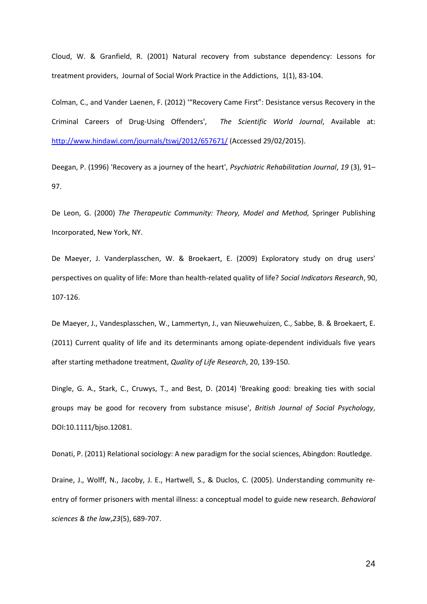Cloud, W. & Granfield, R. (2001) Natural recovery from substance dependency: Lessons for treatment providers, Journal of Social Work Practice in the Addictions, 1(1), 83-104.

Colman, C., and Vander Laenen, F. (2012) '"Recovery Came First": Desistance versus Recovery in the Criminal Careers of Drug-Using Offenders', *The Scientific World Journal*, Available at: <http://www.hindawi.com/journals/tswj/2012/657671/> (Accessed 29/02/2015).

Deegan, P. (1996) 'Recovery as a journey of the heart', *Psychiatric Rehabilitation Journal*, *19* (3), 91– 97.

De Leon, G. (2000) *The Therapeutic Community: Theory, Model and Method,* Springer Publishing Incorporated, New York, NY.

De Maeyer, J. Vanderplasschen, W. & Broekaert, E. (2009) Exploratory study on drug users' perspectives on quality of life: More than health-related quality of life? *Social Indicators Research*, 90, 107-126.

De Maeyer, J., Vandesplasschen, W., Lammertyn, J., van Nieuwehuizen, C., Sabbe, B. & Broekaert, E. (2011) Current quality of life and its determinants among opiate-dependent individuals five years after starting methadone treatment, *Quality of Life Research*, 20, 139-150.

Dingle, G. A., Stark, C., Cruwys, T., and Best, D. (2014) 'Breaking good: breaking ties with social groups may be good for recovery from substance misuse', *British Journal of Social Psychology*, DOI:10.1111/bjso.12081.

Donati, P. (2011) Relational sociology: A new paradigm for the social sciences, Abingdon: Routledge.

Draine, J., Wolff, N., Jacoby, J. E., Hartwell, S., & Duclos, C. (2005). Understanding community reentry of former prisoners with mental illness: a conceptual model to guide new research. *Behavioral sciences & the law*,*23*(5), 689-707.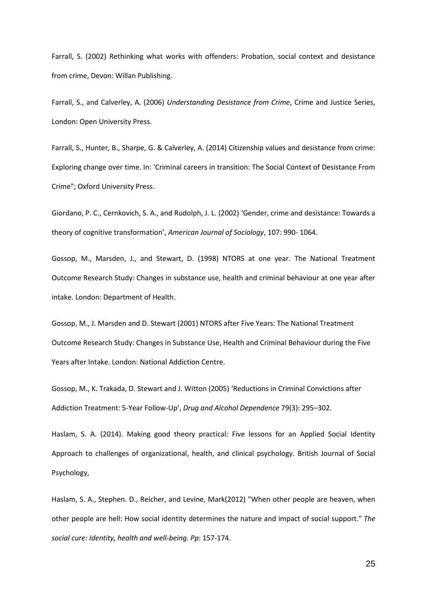Farrall, S. (2002) Rethinking what works with offenders: Probation, social context and desistance from crime, Devon: Willan Publishing.

Farrall, S., and Calverley, A. (2006) *Understanding Desistance from Crime*, Crime and Justice Series, London: Open University Press.

Farrall, S., Hunter, B., Sharpe, G. & Calverley, A. (2014) Citizenship values and desistance from crime: Exploring change over time. In: 'Criminal careers in transition: The Social Context of Desistance From Crime"; Oxford University Press.

Giordano, P. C., Cernkovich, S. A., and Rudolph, J. L. (2002) 'Gender, crime and desistance: Towards a theory of cognitive transformation', *American Journal of Sociology*, 107: 990- 1064.

Gossop, M., Marsden, J., and Stewart, D. (1998) NTORS at one year. The National Treatment Outcome Research Study: Changes in substance use, health and criminal behaviour at one year after intake. London: Department of Health.

Gossop, M., J. Marsden and D. Stewart (2001) NTORS after Five Years: The National Treatment Outcome Research Study: Changes in Substance Use, Health and Criminal Behaviour during the Five Years after Intake. London: National Addiction Centre.

Gossop, M., K. Trakada, D. Stewart and J. Witton (2005) 'Reductions in Criminal Convictions after Addiction Treatment: 5-Year Follow-Up', *Drug and Alcohol Dependence* 79(3): 295–302.

Haslam, S. A. (2014). Making good theory practical: Five lessons for an Applied Social Identity Approach to challenges of organizational, health, and clinical psychology. British Journal of Social Psychology,

Haslam, S. A., Stephen. D., Reicher, and Levine, Mark(2012) "When other people are heaven, when other people are hell: How social identity determines the nature and impact of social support." *The social cure: Identity, health and well-being. Pp*: 157-174.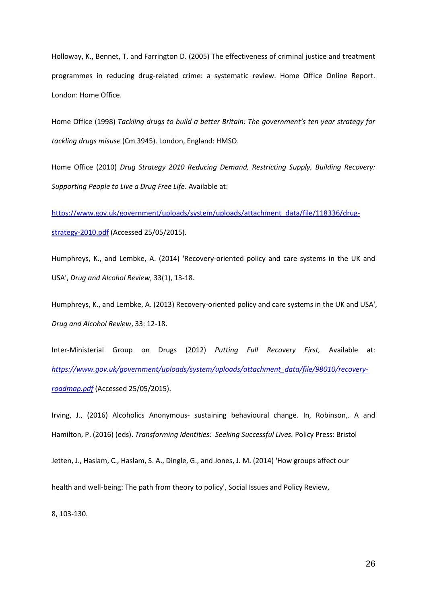Holloway, K., Bennet, T. and Farrington D. (2005) The effectiveness of criminal justice and treatment programmes in reducing drug-related crime: a systematic review. Home Office Online Report. London: Home Office.

Home Office (1998) *Tackling drugs to build a better Britain: The government's ten year strategy for tackling drugs misuse* (Cm 3945). London, England: HMSO.

Home Office (2010) *Drug Strategy 2010 Reducing Demand, Restricting Supply, Building Recovery: Supporting People to Live a Drug Free Life*. Available at:

[https://www.gov.uk/government/uploads/system/uploads/attachment\\_data/file/118336/drug](https://www.gov.uk/government/uploads/system/uploads/attachment_data/file/118336/drug-strategy-2010.pdf)[strategy-2010.pdf](https://www.gov.uk/government/uploads/system/uploads/attachment_data/file/118336/drug-strategy-2010.pdf) (Accessed 25/05/2015).

Humphreys, K., and Lembke, A. (2014) 'Recovery-oriented policy and care systems in the UK and USA', *Drug and Alcohol Review*, 33(1), 13-18.

Humphreys, K., and Lembke, A. (2013) Recovery-oriented policy and care systems in the UK and USA', *Drug and Alcohol Review*, 33: 12-18.

Inter-Ministerial Group on Drugs (2012) *Putting Full Recovery First,* Available at: *[https://www.gov.uk/government/uploads/system/uploads/attachment\\_data/file/98010/recovery](https://www.gov.uk/government/uploads/system/uploads/attachment_data/file/98010/recovery-roadmap.pdf)[roadmap.pdf](https://www.gov.uk/government/uploads/system/uploads/attachment_data/file/98010/recovery-roadmap.pdf)* (Accessed 25/05/2015).

Irving, J., (2016) Alcoholics Anonymous- sustaining behavioural change. In, Robinson,. A and Hamilton, P. (2016) (eds). *Transforming Identities: Seeking Successful Lives.* Policy Press: Bristol

Jetten, J., Haslam, C., Haslam, S. A., Dingle, G., and Jones, J. M. (2014) 'How groups affect our

health and well-being: The path from theory to policy', Social Issues and Policy Review,

8, 103-130.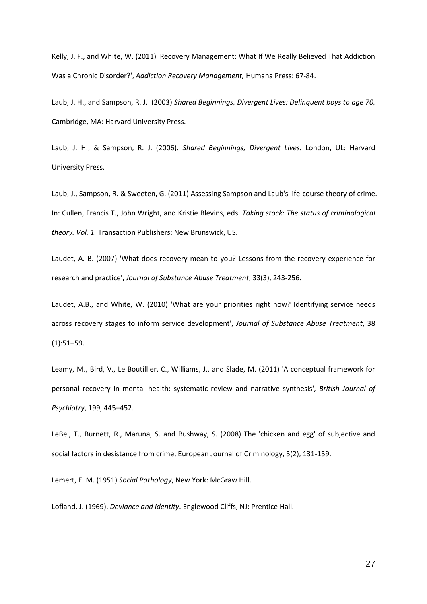Kelly, J. F., and White, W. (2011) 'Recovery Management: What If We Really Believed That Addiction Was a Chronic Disorder?', *Addiction Recovery Management,* Humana Press: 67-84.

Laub, J. H., and Sampson, R. J. (2003) *Shared Beginnings, Divergent Lives: Delinquent boys to age 70,* Cambridge, MA: Harvard University Press.

Laub, J. H., & Sampson, R. J. (2006). *Shared Beginnings, Divergent Lives.* London, UL: Harvard University Press.

Laub, J., Sampson, R. & Sweeten, G. (2011) Assessing Sampson and Laub's life-course theory of crime. In: Cullen, Francis T., John Wright, and Kristie Blevins, eds. *Taking stock: The status of criminological theory. Vol. 1.* Transaction Publishers: New Brunswick, US.

Laudet, A. B. (2007) 'What does recovery mean to you? Lessons from the recovery experience for research and practice', *Journal of Substance Abuse Treatment*, 33(3), 243-256.

Laudet, A.B., and White, W. (2010) 'What are your priorities right now? Identifying service needs across recovery stages to inform service development', *Journal of Substance Abuse Treatment*, 38  $(1):51-59.$ 

Leamy, M., Bird, V., Le Boutillier, C., Williams, J., and Slade, M. (2011) 'A conceptual framework for personal recovery in mental health: systematic review and narrative synthesis', *British Journal of Psychiatry*, 199, 445–452.

LeBel, T., Burnett, R., Maruna, S. and Bushway, S. (2008) The 'chicken and egg' of subjective and social factors in desistance from crime, European Journal of Criminology, 5(2), 131-159.

Lemert, E. M. (1951) *Social Pathology*, New York: McGraw Hill.

Lofland, J. (1969). *Deviance and identity*. Englewood Cliffs, NJ: Prentice Hall.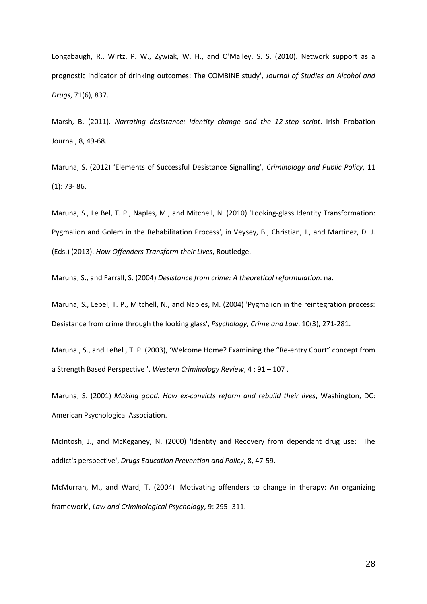Longabaugh, R., Wirtz, P. W., Zywiak, W. H., and O'Malley, S. S. (2010). Network support as a prognostic indicator of drinking outcomes: The COMBINE study', *Journal of Studies on Alcohol and Drugs*, 71(6), 837.

Marsh, B. (2011). *Narrating desistance: Identity change and the 12-step script*. Irish Probation Journal, 8, 49-68.

Maruna, S. (2012) 'Elements of Successful Desistance Signalling', *Criminology and Public Policy*, 11 (1): 73- 86.

Maruna, S., Le Bel, T. P., Naples, M., and Mitchell, N. (2010) 'Looking-glass Identity Transformation: Pygmalion and Golem in the Rehabilitation Process', in Veysey, B., Christian, J., and Martinez, D. J. (Eds.) (2013). *How Offenders Transform their Lives*, Routledge.

Maruna, S., and Farrall, S. (2004) *Desistance from crime: A theoretical reformulation*. na.

Maruna, S., Lebel, T. P., Mitchell, N., and Naples, M. (2004) 'Pygmalion in the reintegration process: Desistance from crime through the looking glass', *Psychology, Crime and Law*, 10(3), 271-281.

Maruna , S., and LeBel , T. P. (2003), 'Welcome Home? Examining the "Re-entry Court" concept from a Strength Based Perspective ', *Western Criminology Review*, 4 : 91 – 107 .

Maruna, S. (2001) *Making good: How ex-convicts reform and rebuild their lives*, Washington, DC: American Psychological Association.

McIntosh, J., and McKeganey, N. (2000) 'Identity and Recovery from dependant drug use: The addict's perspective', *Drugs Education Prevention and Policy*, 8, 47-59.

McMurran, M., and Ward, T. (2004) 'Motivating offenders to change in therapy: An organizing framework', *Law and Criminological Psychology*, 9: 295- 311.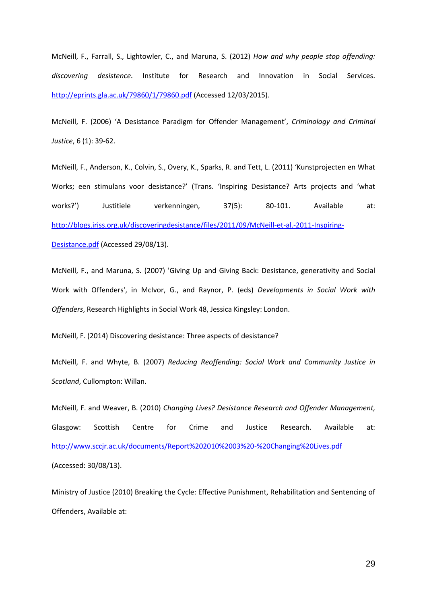McNeill, F., Farrall, S., Lightowler, C., and Maruna, S. (2012) *How and why people stop offending: discovering desistence*. Institute for Research and Innovation in Social Services. <http://eprints.gla.ac.uk/79860/1/79860.pdf> (Accessed 12/03/2015).

McNeill, F. (2006) 'A Desistance Paradigm for Offender Management', *Criminology and Criminal Justice*, 6 (1): 39-62.

McNeill, F., Anderson, K., Colvin, S., Overy, K., Sparks, R. and Tett, L. (2011) 'Kunstprojecten en What Works; een stimulans voor desistance?' (Trans. 'Inspiring Desistance? Arts projects and 'what works?') Justitiele verkenningen, 37(5): 80-101. Available at: [http://blogs.iriss.org.uk/discoveringdesistance/files/2011/09/McNeill-et-al.-2011-Inspiring-](http://blogs.iriss.org.uk/discoveringdesistance/files/2011/09/McNeill-et-al.-2011-Inspiring-Desistance.pdf)[Desistance.pdf](http://blogs.iriss.org.uk/discoveringdesistance/files/2011/09/McNeill-et-al.-2011-Inspiring-Desistance.pdf) (Accessed 29/08/13).

McNeill, F., and Maruna, S. (2007) 'Giving Up and Giving Back: Desistance, generativity and Social Work with Offenders', in McIvor, G., and Raynor, P. (eds) *Developments in Social Work with Offenders*, Research Highlights in Social Work 48, Jessica Kingsley: London.

McNeill, F. (2014) Discovering desistance: Three aspects of desistance?

McNeill, F. and Whyte, B. (2007) *Reducing Reoffending: Social Work and Community Justice in Scotland*, Cullompton: Willan.

McNeill, F. and Weaver, B. (2010) *Changing Lives? Desistance Research and Offender Management,* Glasgow: Scottish Centre for Crime and Justice Research. Available at: <http://www.sccjr.ac.uk/documents/Report%202010%2003%20-%20Changing%20Lives.pdf> (Accessed: 30/08/13).

Ministry of Justice (2010) Breaking the Cycle: Effective Punishment, Rehabilitation and Sentencing of Offenders, Available at: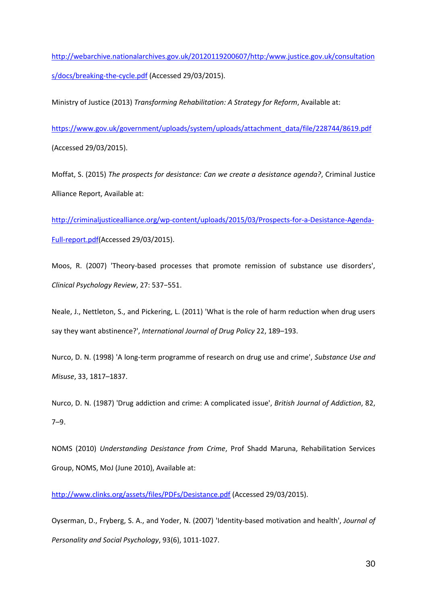[http://webarchive.nationalarchives.gov.uk/20120119200607/http:/www.justice.gov.uk/consultation](http://webarchive.nationalarchives.gov.uk/20120119200607/http:/www.justice.gov.uk/consultations/docs/breaking-the-cycle.pdf) [s/docs/breaking-the-cycle.pdf](http://webarchive.nationalarchives.gov.uk/20120119200607/http:/www.justice.gov.uk/consultations/docs/breaking-the-cycle.pdf) (Accessed 29/03/2015).

Ministry of Justice (2013) *Transforming Rehabilitation: A Strategy for Reform*, Available at:

[https://www.gov.uk/government/uploads/system/uploads/attachment\\_data/file/228744/8619.pdf](https://www.gov.uk/government/uploads/system/uploads/attachment_data/file/228744/8619.pdf) (Accessed 29/03/2015).

Moffat, S. (2015) *The prospects for desistance: Can we create a desistance agenda?*, Criminal Justice Alliance Report, Available at:

[http://criminaljusticealliance.org/wp-content/uploads/2015/03/Prospects-for-a-Desistance-Agenda-](http://criminaljusticealliance.org/wp-content/uploads/2015/03/Prospects-for-a-Desistance-Agenda-Full-report.pdf)[Full-report.pdf\(](http://criminaljusticealliance.org/wp-content/uploads/2015/03/Prospects-for-a-Desistance-Agenda-Full-report.pdf)Accessed 29/03/2015).

Moos, R. (2007) 'Theory-based processes that promote remission of substance use disorders', *Clinical Psychology Review*, 27: 537−551.

Neale, J., Nettleton, S., and Pickering, L. (2011) 'What is the role of harm reduction when drug users say they want abstinence?', *International Journal of Drug Policy* 22, 189–193.

Nurco, D. N. (1998) 'A long-term programme of research on drug use and crime', *Substance Use and Misuse*, 33, 1817–1837.

Nurco, D. N. (1987) 'Drug addiction and crime: A complicated issue', *British Journal of Addiction*, 82, 7–9.

NOMS (2010) *Understanding Desistance from Crime*, Prof Shadd Maruna, Rehabilitation Services Group, NOMS, MoJ (June 2010), Available at:

<http://www.clinks.org/assets/files/PDFs/Desistance.pdf> (Accessed 29/03/2015).

Oyserman, D., Fryberg, S. A., and Yoder, N. (2007) 'Identity-based motivation and health', *Journal of Personality and Social Psychology*, 93(6), 1011-1027.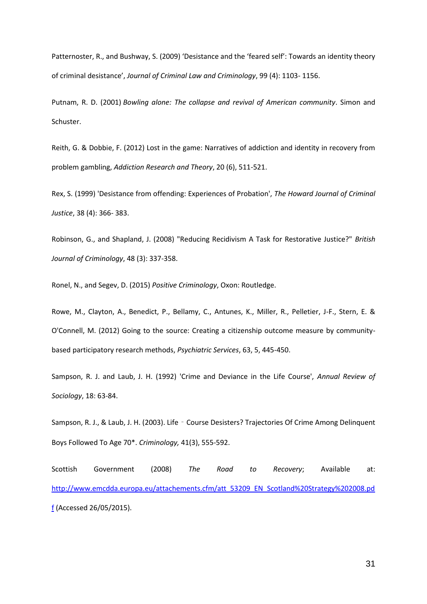Patternoster, R., and Bushway, S. (2009) 'Desistance and the 'feared self': Towards an identity theory of criminal desistance', *Journal of Criminal Law and Criminology*, 99 (4): 1103- 1156.

Putnam, R. D. (2001) *Bowling alone: The collapse and revival of American community*. Simon and Schuster.

Reith, G. & Dobbie, F. (2012) Lost in the game: Narratives of addiction and identity in recovery from problem gambling, *Addiction Research and Theory*, 20 (6), 511-521.

Rex, S. (1999) 'Desistance from offending: Experiences of Probation', *The Howard Journal of Criminal Justice*, 38 (4): 366- 383.

Robinson, G., and Shapland, J. (2008) "Reducing Recidivism A Task for Restorative Justice?" *British Journal of Criminology*, 48 (3): 337-358.

Ronel, N., and Segev, D. (2015) *Positive Criminology*, Oxon: Routledge.

Rowe, M., Clayton, A., Benedict, P., Bellamy, C., Antunes, K., Miller, R., Pelletier, J-F., Stern, E. & O'Connell, M. (2012) Going to the source: Creating a citizenship outcome measure by communitybased participatory research methods, *Psychiatric Services*, 63, 5, 445-450.

Sampson, R. J. and Laub, J. H. (1992) 'Crime and Deviance in the Life Course', *Annual Review of Sociology*, 18: 63-84.

Sampson, R. J., & Laub, J. H. (2003). Life - Course Desisters? Trajectories Of Crime Among Delinquent Boys Followed To Age 70\*. *Criminology,* 41(3), 555-592.

Scottish Government (2008) *The Road to Recovery*; Available at: [http://www.emcdda.europa.eu/attachements.cfm/att\\_53209\\_EN\\_Scotland%20Strategy%202008.pd](http://www.emcdda.europa.eu/attachements.cfm/att_53209_EN_Scotland%20Strategy%202008.pdf) [f](http://www.emcdda.europa.eu/attachements.cfm/att_53209_EN_Scotland%20Strategy%202008.pdf) (Accessed 26/05/2015).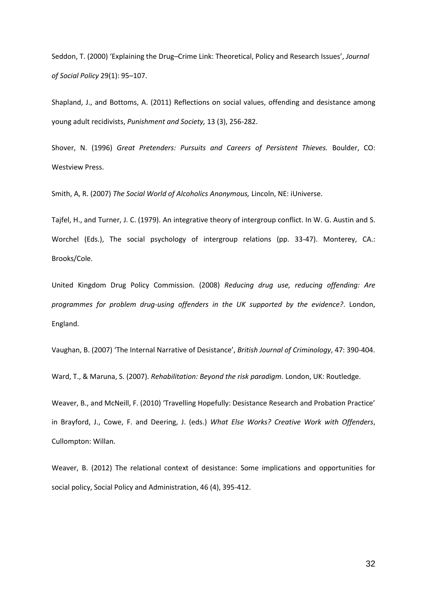Seddon, T. (2000) 'Explaining the Drug–Crime Link: Theoretical, Policy and Research Issues', *Journal of Social Policy* 29(1): 95–107.

Shapland, J., and Bottoms, A. (2011) Reflections on social values, offending and desistance among young adult recidivists, *Punishment and Society,* 13 (3), 256-282.

Shover, N. (1996) *Great Pretenders: Pursuits and Careers of Persistent Thieves.* Boulder, CO: Westview Press.

Smith, A, R. (2007) *The Social World of Alcoholics Anonymous,* Lincoln, NE: iUniverse.

Tajfel, H., and Turner, J. C. (1979). An integrative theory of intergroup conflict. In W. G. Austin and S. Worchel (Eds.), The social psychology of intergroup relations (pp. 33-47). Monterey, CA.: Brooks/Cole.

United Kingdom Drug Policy Commission. (2008) *Reducing drug use, reducing offending: Are programmes for problem drug-using offenders in the UK supported by the evidence?*. London, England.

Vaughan, B. (2007) 'The Internal Narrative of Desistance', *British Journal of Criminology*, 47: 390-404.

Ward, T., & Maruna, S. (2007). *Rehabilitation: Beyond the risk paradigm.* London, UK: Routledge.

Weaver, B., and McNeill, F. (2010) 'Travelling Hopefully: Desistance Research and Probation Practice' in Brayford, J., Cowe, F. and Deering, J. (eds.) *What Else Works? Creative Work with Offenders*, Cullompton: Willan.

Weaver, B. (2012) The relational context of desistance: Some implications and opportunities for social policy, Social Policy and Administration, 46 (4), 395-412.